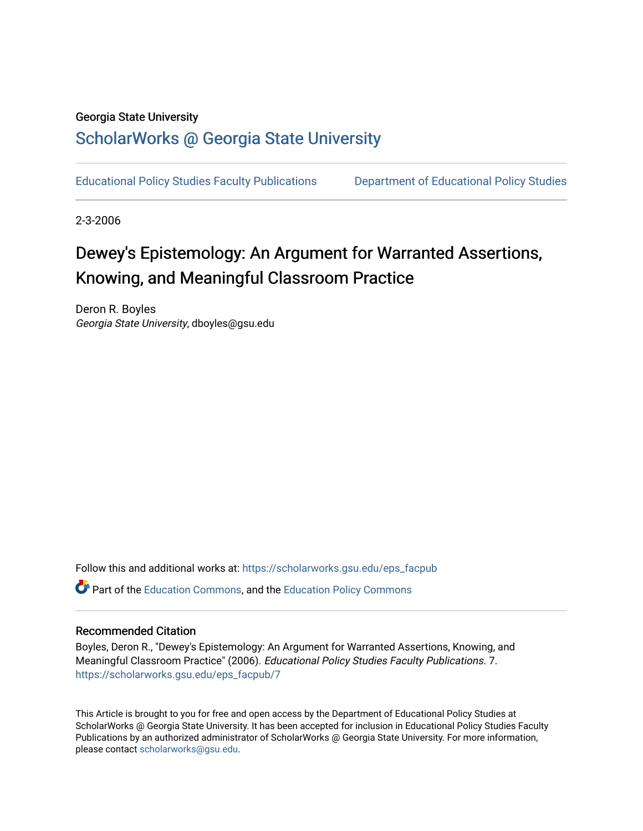## Georgia State University

# [ScholarWorks @ Georgia State University](https://scholarworks.gsu.edu/)

[Educational Policy Studies Faculty Publications](https://scholarworks.gsu.edu/eps_facpub) [Department of Educational Policy Studies](https://scholarworks.gsu.edu/eps) 

2-3-2006

# Dewey's Epistemology: An Argument for Warranted Assertions, Knowing, and Meaningful Classroom Practice

Deron R. Boyles Georgia State University, dboyles@gsu.edu

Follow this and additional works at: [https://scholarworks.gsu.edu/eps\\_facpub](https://scholarworks.gsu.edu/eps_facpub?utm_source=scholarworks.gsu.edu%2Feps_facpub%2F7&utm_medium=PDF&utm_campaign=PDFCoverPages) 

Part of the [Education Commons](http://network.bepress.com/hgg/discipline/784?utm_source=scholarworks.gsu.edu%2Feps_facpub%2F7&utm_medium=PDF&utm_campaign=PDFCoverPages), and the [Education Policy Commons](http://network.bepress.com/hgg/discipline/1026?utm_source=scholarworks.gsu.edu%2Feps_facpub%2F7&utm_medium=PDF&utm_campaign=PDFCoverPages)

#### Recommended Citation

Boyles, Deron R., "Dewey's Epistemology: An Argument for Warranted Assertions, Knowing, and Meaningful Classroom Practice" (2006). Educational Policy Studies Faculty Publications. 7. [https://scholarworks.gsu.edu/eps\\_facpub/7](https://scholarworks.gsu.edu/eps_facpub/7?utm_source=scholarworks.gsu.edu%2Feps_facpub%2F7&utm_medium=PDF&utm_campaign=PDFCoverPages)

This Article is brought to you for free and open access by the Department of Educational Policy Studies at ScholarWorks @ Georgia State University. It has been accepted for inclusion in Educational Policy Studies Faculty Publications by an authorized administrator of ScholarWorks @ Georgia State University. For more information, please contact [scholarworks@gsu.edu.](mailto:scholarworks@gsu.edu)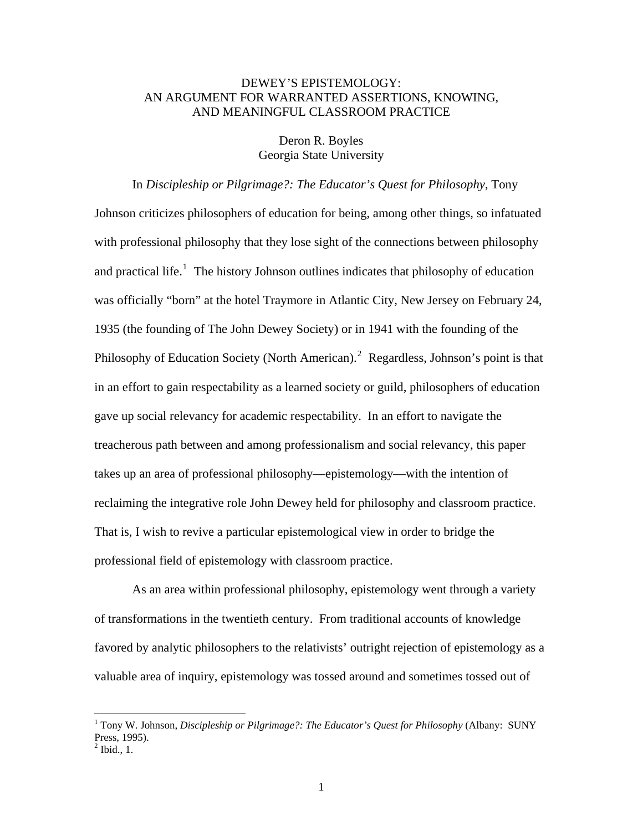# DEWEY'S EPISTEMOLOGY: AN ARGUMENT FOR WARRANTED ASSERTIONS, KNOWING, AND MEANINGFUL CLASSROOM PRACTICE

Deron R. Boyles Georgia State University

### In *Discipleship or Pilgrimage?: The Educator's Quest for Philosophy*, Tony

Johnson criticizes philosophers of education for being, among other things, so infatuated with professional philosophy that they lose sight of the connections between philosophy and practical life.<sup>[1](#page-1-0)</sup> The history Johnson outlines indicates that philosophy of education was officially "born" at the hotel Traymore in Atlantic City, New Jersey on February 24, 1935 (the founding of The John Dewey Society) or in 1941 with the founding of the Philosophy of Education Society (North American).<sup>[2](#page-1-1)</sup> Regardless, Johnson's point is that in an effort to gain respectability as a learned society or guild, philosophers of education gave up social relevancy for academic respectability. In an effort to navigate the treacherous path between and among professionalism and social relevancy, this paper takes up an area of professional philosophy—epistemology—with the intention of reclaiming the integrative role John Dewey held for philosophy and classroom practice. That is, I wish to revive a particular epistemological view in order to bridge the professional field of epistemology with classroom practice.

As an area within professional philosophy, epistemology went through a variety of transformations in the twentieth century. From traditional accounts of knowledge favored by analytic philosophers to the relativists' outright rejection of epistemology as a valuable area of inquiry, epistemology was tossed around and sometimes tossed out of

<span id="page-1-0"></span> 1 Tony W. Johnson, *Discipleship or Pilgrimage?: The Educator's Quest for Philosophy* (Albany: SUNY Press, 1995).

<span id="page-1-1"></span> $<sup>2</sup>$  Ibid., 1.</sup>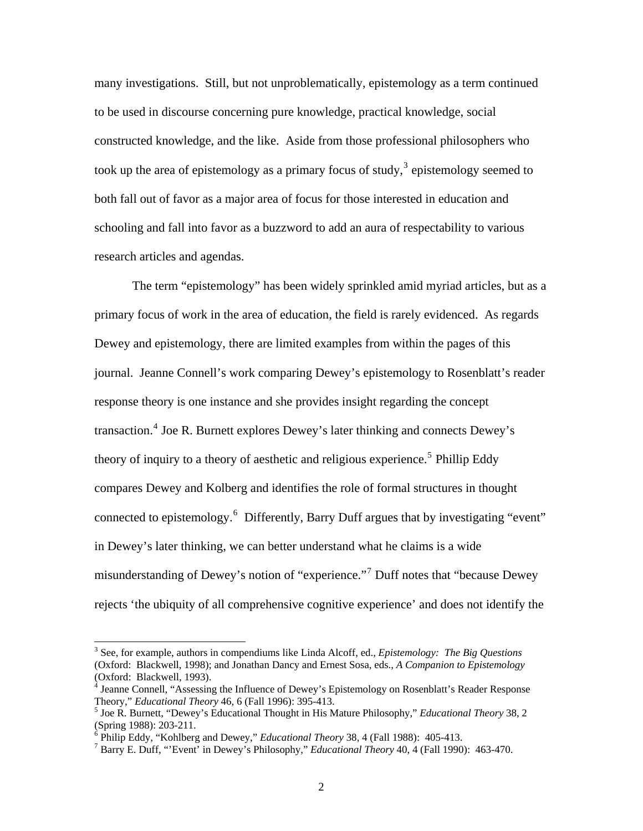many investigations. Still, but not unproblematically, epistemology as a term continued to be used in discourse concerning pure knowledge, practical knowledge, social constructed knowledge, and the like. Aside from those professional philosophers who took up the area of epistemology as a primary focus of study,<sup>[3](#page-2-0)</sup> epistemology seemed to both fall out of favor as a major area of focus for those interested in education and schooling and fall into favor as a buzzword to add an aura of respectability to various research articles and agendas.

The term "epistemology" has been widely sprinkled amid myriad articles, but as a primary focus of work in the area of education, the field is rarely evidenced. As regards Dewey and epistemology, there are limited examples from within the pages of this journal. Jeanne Connell's work comparing Dewey's epistemology to Rosenblatt's reader response theory is one instance and she provides insight regarding the concept transaction.<sup>[4](#page-2-1)</sup> Joe R. Burnett explores Dewey's later thinking and connects Dewey's theory of inquiry to a theory of aesthetic and religious experience.<sup>[5](#page-2-2)</sup> Phillip Eddy compares Dewey and Kolberg and identifies the role of formal structures in thought connected to epistemology.<sup>[6](#page-2-3)</sup> Differently, Barry Duff argues that by investigating "event" in Dewey's later thinking, we can better understand what he claims is a wide misunderstanding of Dewey's notion of "experience."<sup>[7](#page-2-4)</sup> Duff notes that "because Dewey rejects 'the ubiquity of all comprehensive cognitive experience' and does not identify the

<span id="page-2-0"></span><sup>3</sup> See, for example, authors in compendiums like Linda Alcoff, ed., *Epistemology: The Big Questions* (Oxford: Blackwell, 1998); and Jonathan Dancy and Ernest Sosa, eds., *A Companion to Epistemology* (Oxford: Blackwell, 1993).

<span id="page-2-1"></span><sup>&</sup>lt;sup>4</sup> Jeanne Connell, "Assessing the Influence of Dewey's Epistemology on Rosenblatt's Reader Response Theory," *Educational Theory* 46, 6 (Fall 1996): 395-413. 5

<span id="page-2-2"></span><sup>&</sup>lt;sup>5</sup> Joe R. Burnett, "Dewey's Educational Thought in His Mature Philosophy," *Educational Theory* 38, 2 (Spring 1988): 203-211.

<span id="page-2-3"></span><sup>&</sup>lt;sup>6</sup> Philip Eddy, "Kohlberg and Dewey," *Educational Theory* 38, 4 (Fall 1988): 405-413.<br><sup>7</sup> Perry E. Duff. "'Event' in Dewey's Philosophy*" Educational Theory* 40, 4 (Fall 1990)

<span id="page-2-4"></span>Barry E. Duff, "'Event' in Dewey's Philosophy," *Educational Theory* 40, 4 (Fall 1990): 463-470.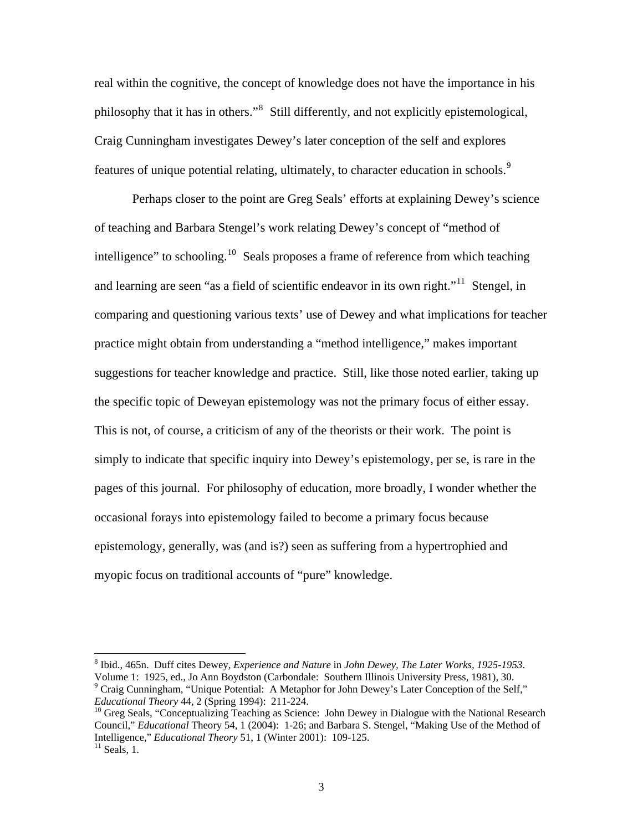real within the cognitive, the concept of knowledge does not have the importance in his philosophy that it has in others."<sup>[8](#page-3-0)</sup> Still differently, and not explicitly epistemological, Craig Cunningham investigates Dewey's later conception of the self and explores features of unique potential relating, ultimately, to character education in schools.<sup>[9](#page-3-1)</sup>

Perhaps closer to the point are Greg Seals' efforts at explaining Dewey's science of teaching and Barbara Stengel's work relating Dewey's concept of "method of intelligence" to schooling.<sup>[10](#page-3-2)</sup> Seals proposes a frame of reference from which teaching and learning are seen "as a field of scientific endeavor in its own right."<sup>[11](#page-3-3)</sup> Stengel, in comparing and questioning various texts' use of Dewey and what implications for teacher practice might obtain from understanding a "method intelligence," makes important suggestions for teacher knowledge and practice. Still, like those noted earlier, taking up the specific topic of Deweyan epistemology was not the primary focus of either essay. This is not, of course, a criticism of any of the theorists or their work. The point is simply to indicate that specific inquiry into Dewey's epistemology, per se, is rare in the pages of this journal. For philosophy of education, more broadly, I wonder whether the occasional forays into epistemology failed to become a primary focus because epistemology, generally, was (and is?) seen as suffering from a hypertrophied and myopic focus on traditional accounts of "pure" knowledge.

<span id="page-3-0"></span><sup>8</sup> Ibid., 465n. Duff cites Dewey, *Experience and Nature* in *John Dewey, The Later Works, 1925-1953*. Volume 1: 1925, ed., Jo Ann Boydston (Carbondale: Southern Illinois University Press, 1981), 30. <sup>9</sup> Craig Cunningham, "Unique Potential: A Metaphor for John Dewey's Later Conception of the Self,"

<span id="page-3-2"></span><span id="page-3-1"></span>*Educational Theory* 44, 2 (Spring 1994): 211-224.<br><sup>10</sup> Greg Seals, "Conceptualizing Teaching as Science: John Dewey in Dialogue with the National Research Council," *Educational* Theory 54, 1 (2004): 1-26; and Barbara S. Stengel, "Making Use of the Method of Intelligence," *Educational Theory* 51, 1 (Winter 2001): 109-125. 11 Seals, 1.

<span id="page-3-3"></span>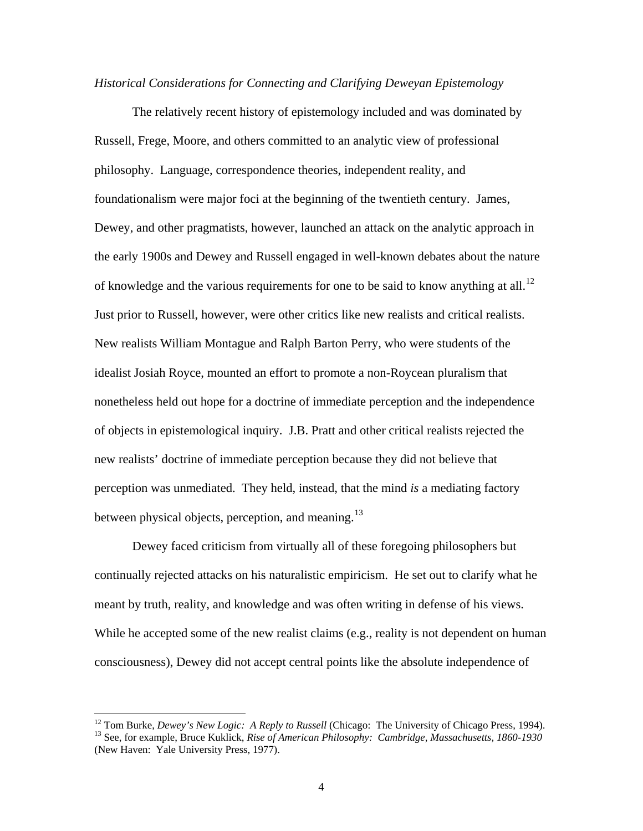#### *Historical Considerations for Connecting and Clarifying Deweyan Epistemology*

The relatively recent history of epistemology included and was dominated by Russell, Frege, Moore, and others committed to an analytic view of professional philosophy. Language, correspondence theories, independent reality, and foundationalism were major foci at the beginning of the twentieth century. James, Dewey, and other pragmatists, however, launched an attack on the analytic approach in the early 1900s and Dewey and Russell engaged in well-known debates about the nature of knowledge and the various requirements for one to be said to know anything at all.<sup>[12](#page-4-0)</sup> Just prior to Russell, however, were other critics like new realists and critical realists. New realists William Montague and Ralph Barton Perry, who were students of the idealist Josiah Royce, mounted an effort to promote a non-Roycean pluralism that nonetheless held out hope for a doctrine of immediate perception and the independence of objects in epistemological inquiry. J.B. Pratt and other critical realists rejected the new realists' doctrine of immediate perception because they did not believe that perception was unmediated. They held, instead, that the mind *is* a mediating factory between physical objects, perception, and meaning.<sup>[13](#page-4-1)</sup>

Dewey faced criticism from virtually all of these foregoing philosophers but continually rejected attacks on his naturalistic empiricism. He set out to clarify what he meant by truth, reality, and knowledge and was often writing in defense of his views. While he accepted some of the new realist claims (e.g., reality is not dependent on human consciousness), Dewey did not accept central points like the absolute independence of

<span id="page-4-1"></span><span id="page-4-0"></span><sup>&</sup>lt;sup>12</sup> Tom Burke, *Dewey's New Logic: A Reply to Russell* (Chicago: The University of Chicago Press, 1994).<br><sup>13</sup> See, for example, Bruce Kuklick, *Rise of American Philosophy: Cambridge, Massachusetts, 1860-1930* (New Haven: Yale University Press, 1977).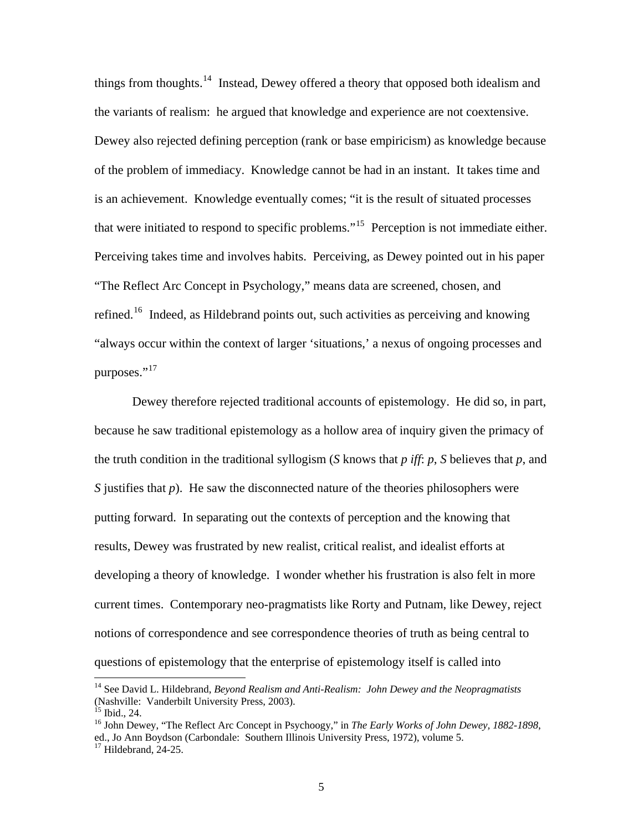things from thoughts.<sup>[14](#page-5-0)</sup> Instead, Dewey offered a theory that opposed both idealism and the variants of realism: he argued that knowledge and experience are not coextensive. Dewey also rejected defining perception (rank or base empiricism) as knowledge because of the problem of immediacy. Knowledge cannot be had in an instant. It takes time and is an achievement. Knowledge eventually comes; "it is the result of situated processes that were initiated to respond to specific problems."[15](#page-5-1) Perception is not immediate either. Perceiving takes time and involves habits. Perceiving, as Dewey pointed out in his paper "The Reflect Arc Concept in Psychology," means data are screened, chosen, and refined.<sup>[16](#page-5-2)</sup> Indeed, as Hildebrand points out, such activities as perceiving and knowing "always occur within the context of larger 'situations,' a nexus of ongoing processes and purposes."<sup>[17](#page-5-3)</sup>

Dewey therefore rejected traditional accounts of epistemology. He did so, in part, because he saw traditional epistemology as a hollow area of inquiry given the primacy of the truth condition in the traditional syllogism (*S* knows that *p iff*: *p*, *S* believes that *p*, and *S* justifies that *p*). He saw the disconnected nature of the theories philosophers were putting forward. In separating out the contexts of perception and the knowing that results, Dewey was frustrated by new realist, critical realist, and idealist efforts at developing a theory of knowledge. I wonder whether his frustration is also felt in more current times. Contemporary neo-pragmatists like Rorty and Putnam, like Dewey, reject notions of correspondence and see correspondence theories of truth as being central to questions of epistemology that the enterprise of epistemology itself is called into

<span id="page-5-0"></span><sup>14</sup> See David L. Hildebrand, *Beyond Realism and Anti-Realism: John Dewey and the Neopragmatists* (Nashville: Vanderbilt University Press, 2003).

 $^{15}$  Ibid., 24.

<span id="page-5-2"></span><span id="page-5-1"></span><sup>16</sup> John Dewey, "The Reflect Arc Concept in Psychoogy," in *The Early Works of John Dewey, 1882-1898*, ed., Jo Ann Boydson (Carbondale: Southern Illinois University Press, 1972), volume 5.

<span id="page-5-3"></span> $17$  Hildebrand, 24-25.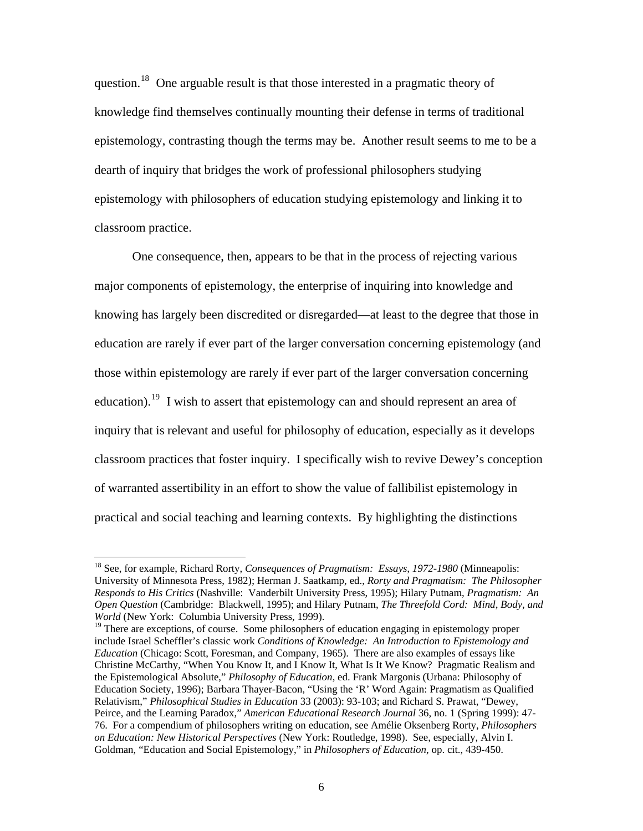question.<sup>[18](#page-6-0)</sup> One arguable result is that those interested in a pragmatic theory of knowledge find themselves continually mounting their defense in terms of traditional epistemology, contrasting though the terms may be. Another result seems to me to be a dearth of inquiry that bridges the work of professional philosophers studying epistemology with philosophers of education studying epistemology and linking it to classroom practice.

One consequence, then, appears to be that in the process of rejecting various major components of epistemology, the enterprise of inquiring into knowledge and knowing has largely been discredited or disregarded—at least to the degree that those in education are rarely if ever part of the larger conversation concerning epistemology (and those within epistemology are rarely if ever part of the larger conversation concerning education).<sup>[19](#page-6-1)</sup> I wish to assert that epistemology can and should represent an area of inquiry that is relevant and useful for philosophy of education, especially as it develops classroom practices that foster inquiry. I specifically wish to revive Dewey's conception of warranted assertibility in an effort to show the value of fallibilist epistemology in practical and social teaching and learning contexts. By highlighting the distinctions

<span id="page-6-0"></span><sup>18</sup> See, for example, Richard Rorty, *Consequences of Pragmatism: Essays, 1972-1980* (Minneapolis: University of Minnesota Press, 1982); Herman J. Saatkamp, ed., *Rorty and Pragmatism: The Philosopher Responds to His Critics* (Nashville: Vanderbilt University Press, 1995); Hilary Putnam, *Pragmatism: An Open Question* (Cambridge: Blackwell, 1995); and Hilary Putnam, *The Threefold Cord: Mind, Body, and World* (New York: Columbia University Press, 1999).

<span id="page-6-1"></span> $19$  There are exceptions, of course. Some philosophers of education engaging in epistemology proper include Israel Scheffler's classic work *Conditions of Knowledge: An Introduction to Epistemology and Education* (Chicago: Scott, Foresman, and Company, 1965). There are also examples of essays like Christine McCarthy, "When You Know It, and I Know It, What Is It We Know? Pragmatic Realism and the Epistemological Absolute," *Philosophy of Education*, ed. Frank Margonis (Urbana: Philosophy of Education Society, 1996); Barbara Thayer-Bacon, "Using the 'R' Word Again: Pragmatism as Qualified Relativism," *Philosophical Studies in Education* 33 (2003): 93-103; and Richard S. Prawat, "Dewey, Peirce, and the Learning Paradox," *American Educational Research Journal* 36, no. 1 (Spring 1999): 47- 76. For a compendium of philosophers writing on education, see Amélie Oksenberg Rorty, *Philosophers on Education: New Historical Perspectives* (New York: Routledge, 1998). See, especially, Alvin I. Goldman, "Education and Social Epistemology," in *Philosophers of Education*, op. cit., 439-450.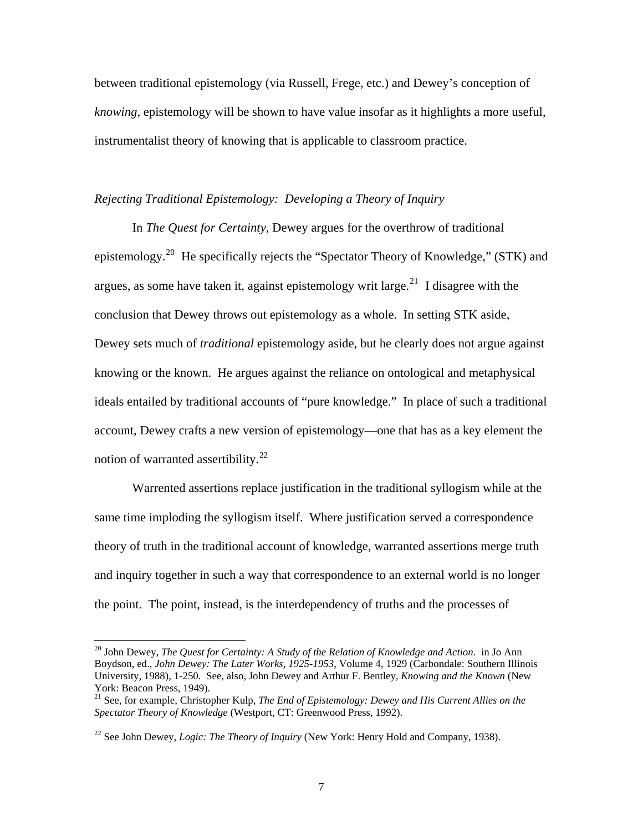between traditional epistemology (via Russell, Frege, etc.) and Dewey's conception of *knowing*, epistemology will be shown to have value insofar as it highlights a more useful, instrumentalist theory of knowing that is applicable to classroom practice.

# *Rejecting Traditional Epistemology: Developing a Theory of Inquiry*

In *The Quest for Certainty*, Dewey argues for the overthrow of traditional epistemology.<sup>[20](#page-7-0)</sup> He specifically rejects the "Spectator Theory of Knowledge," (STK) and argues, as some have taken it, against epistemology writ large.<sup>[21](#page-7-1)</sup> I disagree with the conclusion that Dewey throws out epistemology as a whole. In setting STK aside, Dewey sets much of *traditional* epistemology aside, but he clearly does not argue against knowing or the known. He argues against the reliance on ontological and metaphysical ideals entailed by traditional accounts of "pure knowledge." In place of such a traditional account, Dewey crafts a new version of epistemology—one that has as a key element the notion of warranted assertibility.<sup>[22](#page-7-2)</sup>

Warrented assertions replace justification in the traditional syllogism while at the same time imploding the syllogism itself. Where justification served a correspondence theory of truth in the traditional account of knowledge, warranted assertions merge truth and inquiry together in such a way that correspondence to an external world is no longer the point. The point, instead, is the interdependency of truths and the processes of

<span id="page-7-0"></span><sup>&</sup>lt;sup>20</sup> John Dewey, *The Quest for Certainty: A Study of the Relation of Knowledge and Action.* in Jo Ann Boydson, ed., *John Dewey: The Later Works, 1925-1953*, Volume 4, 1929 (Carbondale: Southern Illinois University, 1988), 1-250. See, also, John Dewey and Arthur F. Bentley, *Knowing and the Known* (New York: Beacon Press, 1949).

<span id="page-7-1"></span><sup>21</sup> See, for example, Christopher Kulp, *The End of Epistemology: Dewey and His Current Allies on the Spectator Theory of Knowledge* (Westport, CT: Greenwood Press, 1992).

<span id="page-7-2"></span><sup>22</sup> See John Dewey, *Logic: The Theory of Inquiry* (New York: Henry Hold and Company, 1938).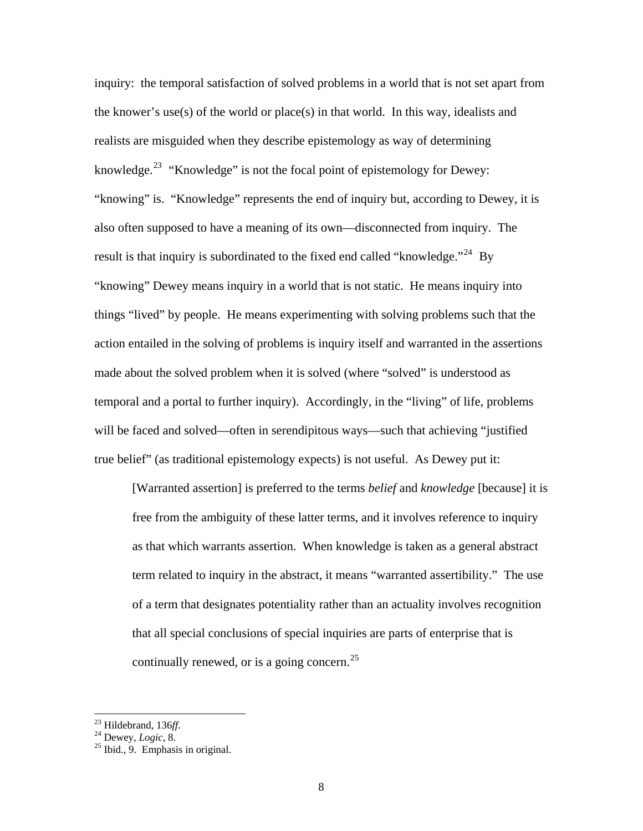inquiry: the temporal satisfaction of solved problems in a world that is not set apart from the knower's use(s) of the world or place(s) in that world. In this way, idealists and realists are misguided when they describe epistemology as way of determining knowledge.<sup>[23](#page-8-0)</sup> "Knowledge" is not the focal point of epistemology for Dewey: "knowing" is. "Knowledge" represents the end of inquiry but, according to Dewey, it is also often supposed to have a meaning of its own—disconnected from inquiry. The result is that inquiry is subordinated to the fixed end called "knowledge."<sup>[24](#page-8-1)</sup> By "knowing" Dewey means inquiry in a world that is not static. He means inquiry into things "lived" by people. He means experimenting with solving problems such that the action entailed in the solving of problems is inquiry itself and warranted in the assertions made about the solved problem when it is solved (where "solved" is understood as temporal and a portal to further inquiry). Accordingly, in the "living" of life, problems will be faced and solved—often in serendipitous ways—such that achieving "justified true belief" (as traditional epistemology expects) is not useful. As Dewey put it:

[Warranted assertion] is preferred to the terms *belief* and *knowledge* [because] it is free from the ambiguity of these latter terms, and it involves reference to inquiry as that which warrants assertion. When knowledge is taken as a general abstract term related to inquiry in the abstract, it means "warranted assertibility." The use of a term that designates potentiality rather than an actuality involves recognition that all special conclusions of special inquiries are parts of enterprise that is continually renewed, or is a going concern.<sup>[25](#page-8-2)</sup>

 $23$  Hildebrand, 136ff.

<span id="page-8-2"></span><span id="page-8-1"></span><span id="page-8-0"></span><sup>&</sup>lt;sup>24</sup> Dewey, *Logic*, 8.<br><sup>25</sup> Ibid., 9. Emphasis in original.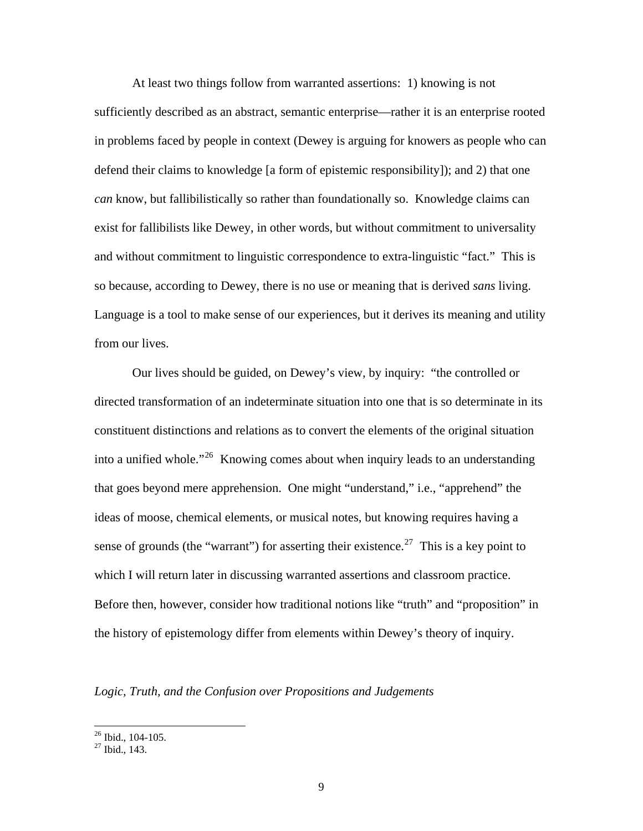At least two things follow from warranted assertions: 1) knowing is not sufficiently described as an abstract, semantic enterprise—rather it is an enterprise rooted in problems faced by people in context (Dewey is arguing for knowers as people who can defend their claims to knowledge [a form of epistemic responsibility]); and 2) that one *can* know, but fallibilistically so rather than foundationally so. Knowledge claims can exist for fallibilists like Dewey, in other words, but without commitment to universality and without commitment to linguistic correspondence to extra-linguistic "fact." This is so because, according to Dewey, there is no use or meaning that is derived *sans* living. Language is a tool to make sense of our experiences, but it derives its meaning and utility from our lives.

Our lives should be guided, on Dewey's view, by inquiry: "the controlled or directed transformation of an indeterminate situation into one that is so determinate in its constituent distinctions and relations as to convert the elements of the original situation into a unified whole."<sup>[26](#page-9-0)</sup> Knowing comes about when inquiry leads to an understanding that goes beyond mere apprehension. One might "understand," i.e., "apprehend" the ideas of moose, chemical elements, or musical notes, but knowing requires having a sense of grounds (the "warrant") for asserting their existence.<sup>[27](#page-9-1)</sup> This is a key point to which I will return later in discussing warranted assertions and classroom practice. Before then, however, consider how traditional notions like "truth" and "proposition" in the history of epistemology differ from elements within Dewey's theory of inquiry.

*Logic, Truth, and the Confusion over Propositions and Judgements*

<span id="page-9-0"></span> $26$  Ibid., 104-105.

<span id="page-9-1"></span> $27$  Ibid., 143.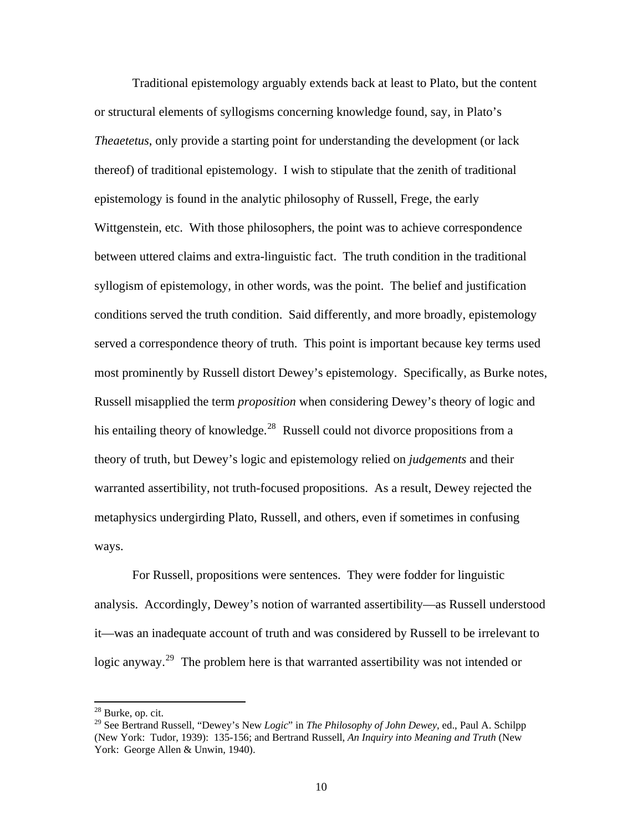Traditional epistemology arguably extends back at least to Plato, but the content or structural elements of syllogisms concerning knowledge found, say, in Plato's *Theaetetus*, only provide a starting point for understanding the development (or lack thereof) of traditional epistemology. I wish to stipulate that the zenith of traditional epistemology is found in the analytic philosophy of Russell, Frege, the early Wittgenstein, etc. With those philosophers, the point was to achieve correspondence between uttered claims and extra-linguistic fact. The truth condition in the traditional syllogism of epistemology, in other words, was the point. The belief and justification conditions served the truth condition. Said differently, and more broadly, epistemology served a correspondence theory of truth. This point is important because key terms used most prominently by Russell distort Dewey's epistemology. Specifically, as Burke notes, Russell misapplied the term *proposition* when considering Dewey's theory of logic and his entailing theory of knowledge.<sup>[28](#page-10-0)</sup> Russell could not divorce propositions from a theory of truth, but Dewey's logic and epistemology relied on *judgements* and their warranted assertibility, not truth-focused propositions. As a result, Dewey rejected the metaphysics undergirding Plato, Russell, and others, even if sometimes in confusing ways.

it—was an inadequate account of truth and was considered by Russell to be irrelevant to logic anyway.<sup>[29](#page-10-1)</sup> The problem here is that warranted assertibility was not intended or For Russell, propositions were sentences. They were fodder for linguistic analysis. Accordingly, Dewey's notion of warranted assertibility—as Russell understood

<span id="page-10-0"></span><sup>28</sup> Burke, op. cit.

<span id="page-10-1"></span><sup>29</sup> See Bertrand Russell, "Dewey's New *Logic*" in *The Philosophy of John Dewey*, ed., Paul A. Schilpp (New York: Tudor, 1939): 135-156; and Bertrand Russell, *An Inquiry into Meaning and Truth* (New York: George Allen & Unwin, 1940).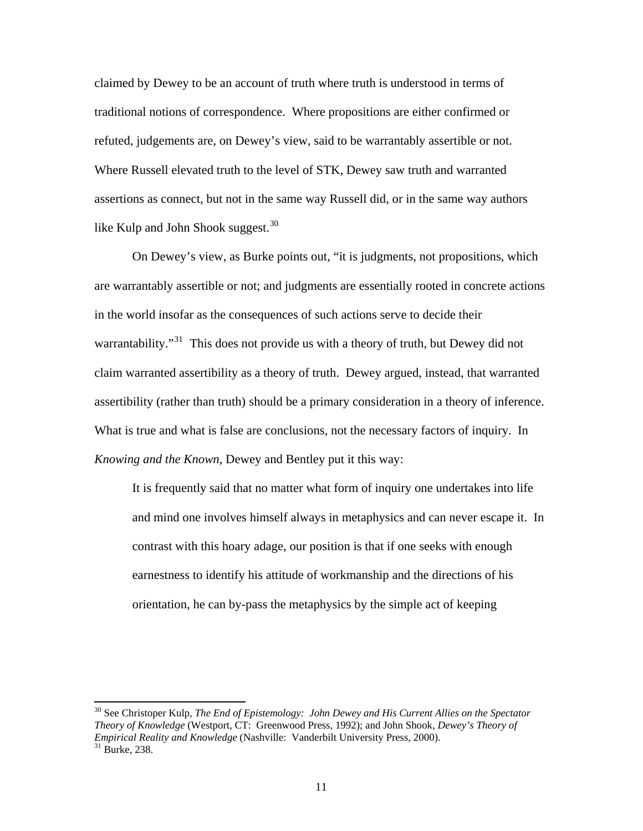claimed by Dewey to be an account of truth where truth is understood in terms of traditional notions of correspondence. Where propositions are either confirmed or refuted, judgements are, on Dewey's view, said to be warrantably assertible or not. Where Russell elevated truth to the level of STK, Dewey saw truth and warranted assertions as connect, but not in the sa me way Russell did, or in the same way authors like Kulp and John Shook suggest.<sup>[30](#page-11-0)</sup>

[are warrantably assertible or not; and judgments are essentially rooted in conc](#page-11-0)rete actions [assertibility \(rather than truth\) should be a primary consideration in a theory of inferenc](#page-11-0)e. [What is true and what is false are conclusions, not the necessar](#page-11-0)y factors of inquiry. In *Knowin g and the Known*, Dewey and Bentley put it this way: [On Dewey's view, as Burke points out, "it is judgments, not propositions, which](#page-11-0)  [in the world insofar as the consequences of such actions serve to decide their](#page-11-0)  warrantability."<sup>31</sup> This does not provide us with a theory of truth, but Dewey did not [claim warranted assertibility as a theory of truth. Dewey argued, instead, that warranted](#page-11-0) 

and mind one involves himself always in metaphysics and can never escape it. In earnestness to identify his attitude of workmanship and the directions of his It is frequently said that no matter what form of inquiry one undertakes into life contrast with this hoary adage, our position is that if one seeks with enough orientation, he can by-pass the metaphysics by the simple act of keeping

<span id="page-11-0"></span><sup>&</sup>lt;sup>30</sup> See Christoper Kulp, *The End of Epistemology: John Dewey and His Current Allies on the Spectator Theory of Knowledge* (Westport, CT: Greenwood Press, 1992); and John Shook, *D ewey's Theory of Empirical Reality and Knowledge* (Nashville: Vanderbilt University Press, 2000).<sup>31</sup> Burke, 238.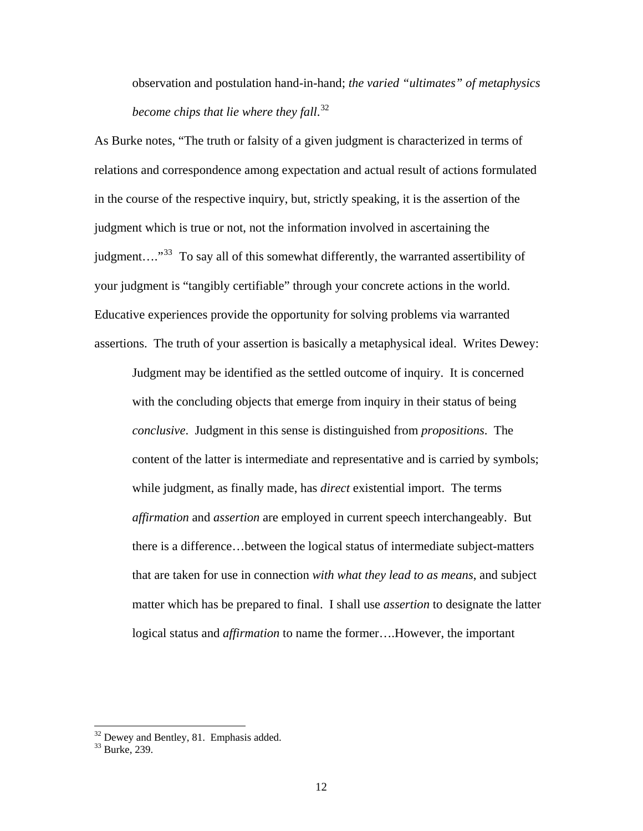observation and postulation hand-in-hand; *the varied "ultimates" of metaphysi cs become chips that lie where they fall*. [32](#page-12-0)

[relations and correspondence among expectation and actual result of actions for](#page-12-0)mulated judgment...."<sup>33</sup> To say all of this somewhat differently, the warranted assertibility of Educat ive experiences provide the opportunity for solving problems via warranted assertions. The truth of your assertion is basically a metaphysical ideal. Writes Dewey: [As Burke notes, "The truth or falsity of a given judgment is characterized in terms of](#page-12-0)  [in the course of the respective inquiry, but, strictly speaking, it is the assertion of the](#page-12-0)  [judgment which is true or not, not the information involved in ascertaining the](#page-12-0)  [your judgment is "tangibly certifiable" through your concrete actions in the world.](#page-12-0) 

conclusive. Judgment in this sense is distinguished from *propositions*. The that are taken for use in connection *with what they lead to as means*, and subject matter which has be prepared to final. I shall use *assertion* to designate the latter logical status and *affirmation* to name the former....However, the important Judgment may be identified as the settled outcome of inquiry. It is concerned with the concluding objects that emerge from inquiry in their status of being content of the latter is intermediate and representative and is carried by symbols; while judgment, as finally made, has *direct* existential import. The terms *affirmation* and *assertion* are employed in current speech interchangeably. But there is a difference…between the logical status of intermediate subject-matters

 $32$  Dewey and Bentley, 81. Emphasis added.

<span id="page-12-0"></span> $33$  Burke, 239.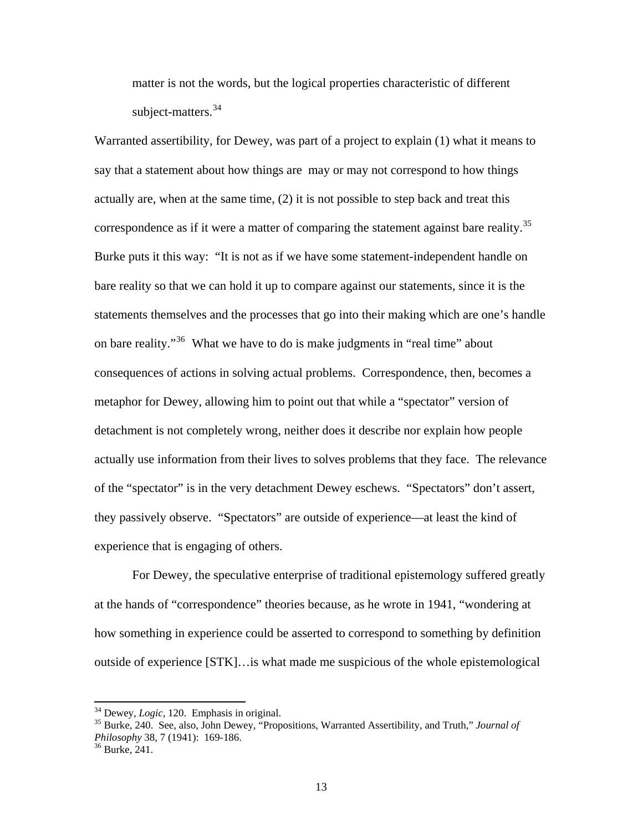matter is not the words, but the logical properties characteristic of different subject-matters.<sup>[34](#page-13-0)</sup>

[Warranted assertibility, for Dewey, was part of a project to explain \(1\) what it means to](#page-13-0) [say that a statement about how things are may or may not correspond to how things](#page-13-0)  [actually are, when at the same time, \(2\) it is not possible to step back and treat this](#page-13-0)  [correspondence as if it were a matter of comparing the statement against bare re](#page-13-0)ality.<sup>35</sup> [Burke puts it this way: "It is not as if we have some statement-independent handle on](#page-13-0)  [bare reality so that we can hold it up to compare against our statements, since it is th](#page-13-0) e [statements themselves and the processes that go into their making which are one's han](#page-13-0)dle [on bare reality."](#page-13-0)<sup>36</sup> What we have to do is make judgments in "real time" about [detachment is not completely wrong, n](#page-13-1)either does it describe nor explain how people actually use information from their lives to solves problems that they face. The relevance [consequences of actions in solving actual problems. Correspondence, then, becomes a](#page-13-1)  [metaphor for Dewey, allowing him to point out that while a "spectator" version of](#page-13-1)  of the "spectator" is in the very detachment Dewey eschews. "Spectators" don't assert, they passively observe. "Spectators" are outside of experience—at least the kind of experience that is engaging of others.

For Dewey, the speculative enterprise of traditional epistemology suffered greatly how something in experience could be asserted to correspond to something by definition outside of experience [STK]…is what made me suspicious of the whole epistemological at the hands of "correspondence" theories because, as he wrote in 1941, "wondering at

 $34$  Dewey, *Logic*, 120. Emphasis in original.

<span id="page-13-0"></span><sup>&</sup>lt;sup>34</sup> Dewey, *Logic*, 120. Emphasis in original.<br><sup>35</sup> Burke, 240. See, also, John Dewey, "Propositions, Warranted Assertibility, and Truth," *Journal of Philosophy* 38, 7 (1941): 169-186.<br><sup>36</sup> Burke, 241.

<span id="page-13-1"></span>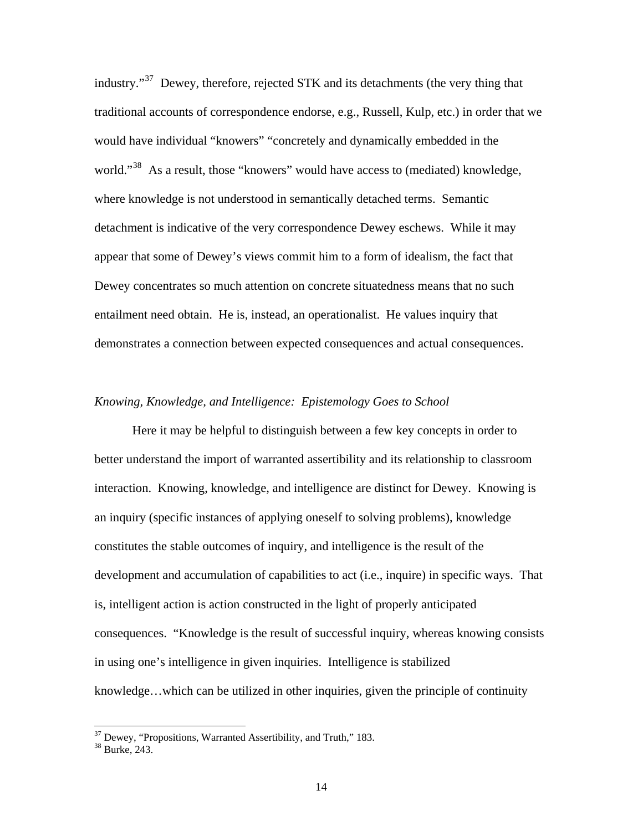industry."[37](#page-14-0) Dewey, therefore, rejected STK and its detachments (the very thing that traditional accounts of correspondence endorse, e.g., Russell, Kulp, etc.) in orde r that we would have individual "knowers" "concretely and dynamically embedded in the world."<sup>[38](#page-14-1)</sup> As a result, those "knowers" would have access to (mediated) knowledge, detachment is indicative of the very correspondence Dewey eschews. While it may Dewey concentrates so much attention on concrete situatedness means that no such entailment need obtain. He is, instead, an operationalist. He values inquiry that demons trates a connection between expected consequences and actual consequences. where knowledge is not understood in semantically detached terms. Semantic appear that some of Dewey's views commit him to a form of idealism, the fact that

#### *Knowing, Knowledge, and Intelligence: Epistemology Goes to School*

better understand the import of warranted assertibility and its relationship to classroom an inquiry (specific instances of applying oneself to solving problems), knowledge development and accumulation of capabilities to act (i.e., inquire) in specific ways. That knowledge...which can be utilized in other inquiries, given the principle of continuity Here it may be helpful to distinguish between a few key concepts in order to interaction. Knowing, knowledge, and intelligence are distinct for Dewey. Knowing is constitutes the stable outcomes of inquiry, and intelligence is the result of the is, intelligent action is action constructed in the light of properly anticipated consequences. "Knowledge is the result of successful inquiry, whereas knowing consists in using one's intelligence in given inquiries. Intelligence is stabilized

<span id="page-14-0"></span> $37$  Dewey, "Propositions, Warranted Assertibility, and Truth," 183.

<span id="page-14-1"></span><sup>38</sup> Burke, 243.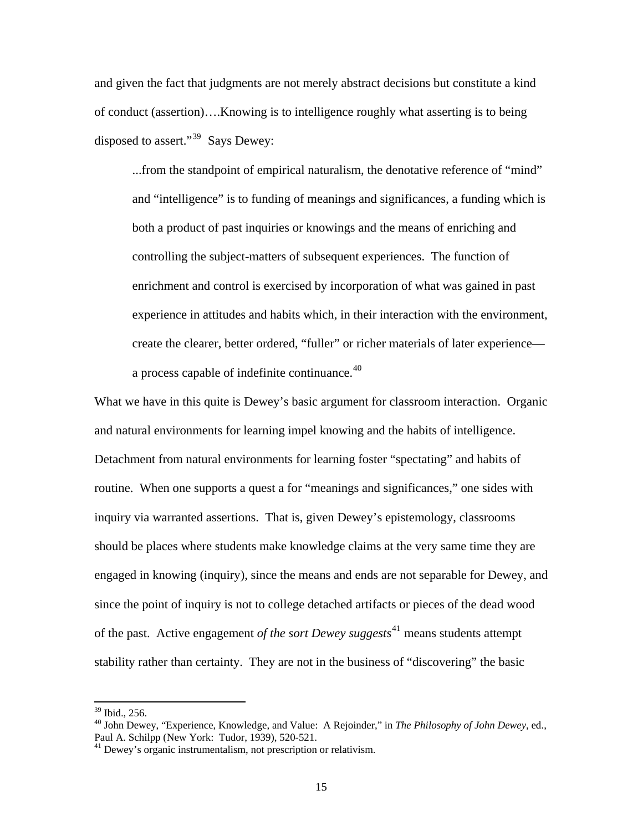and giv en the fact that judgments are not merely abstract decisions but constitute a kind of cond uct (assertion)….Knowing is to intelligence roughly what asserting is to being disposed to assert."<sup>[39](#page-15-0)</sup> Says Dewey:

...from the standpoint of empirical naturalism, the denotative reference of "mind" and "intelligence" is to funding of meanings and significances, a funding which is enrichment and control is exercised by incorporation of what was gained in past create the clearer, better ordered, "fuller" or richer materials of later experienceboth a product of past inquiries or knowings and the means of enriching and controlling the subject-matters of subsequent experiences. The function of experience in attitudes and habits which, in their interaction with the environment, a process capable of indefinite continuance.<sup>[40](#page-15-1)</sup>

[What we have in this quite is Dewey's basic argument for classroom interaction. Organ](#page-15-1)ic [should be places where students make knowledge claims at the very same time they a](#page-15-1)re [engaged in knowing \(inquiry\), since the means and ends are not separable for Dewey,](#page-15-1) and [of the past. Active engagement](#page-15-1) *of the sort Dewey suggests*<sup>41</sup> means students attempt stability rather than certainty. They are not in the business of "discovering" the basic [and natural environments for learning impel knowing and the habits of intelligence.](#page-15-1)  [Detachment from natural environments for learning foster "spectating" and habits of](#page-15-1)  [routine. When one supports a quest a for "meanings and significances," one sides with](#page-15-1)  [inquiry via warranted assertions. That is, given Dewey's epistemology, classrooms](#page-15-1)  [since the point of inquiry is not to college detached artifacts or pieces of the dead wood](#page-15-1) 

 $39$  Ibid., 256.

<span id="page-15-0"></span><sup>40</sup> John Dewey, "Experience, Knowledge, and Value: A Rejoinder," in *The Philosophy of John Dewey*, ed., Paul A. Schilpp (New York: Tudor, 1939), 520-521.

<span id="page-15-1"></span><sup>&</sup>lt;sup>41</sup> Dewey's organic instrumentalism, not prescription or relativism.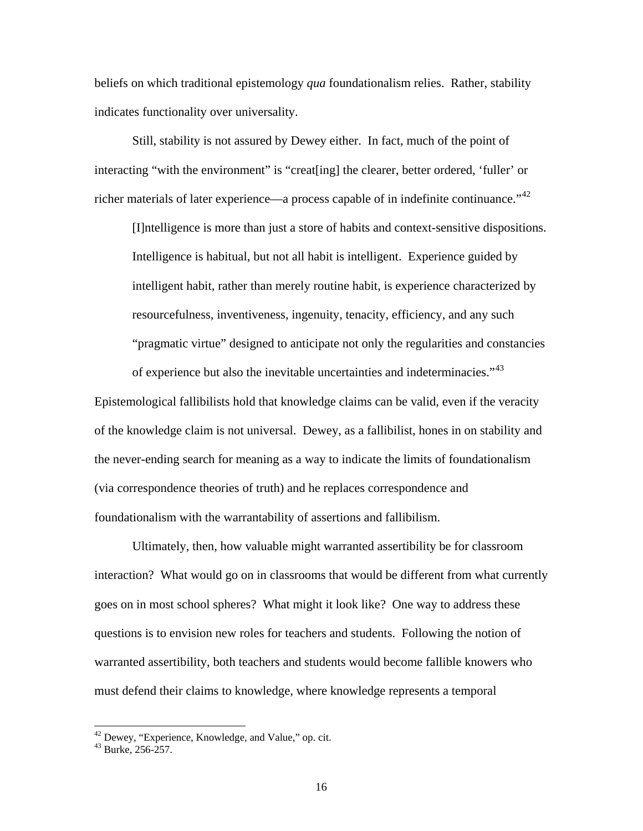beliefs on which traditional epistemology *qua* foundationalism relies. Rather, stability indicates functionality over universality.

interact ing "with the environment" is "creat[ing] the clearer, better ordered, 'fuller' or richer materials of later experience—a process capable of in indefinite continuance."<sup>[42](#page-16-0)</sup> Still, stability is not assured by Dewey either. In fact, much of the point of

. [\[I\]ntelligence is more than just a store of habits and context-sensitive dispositions](#page-16-0) [Intelligence is habitual, but not all habit is intelligent. Experience guided by](#page-16-0)  [intelligent habit, rather than merely routine habit, is experience characterized by](#page-16-0)  [resourcefulness, inventiveness, ingenuity, tenacity, efficiency, and any such](#page-16-0) "pragmatic virtue" designed to anticipate not only the regularities and constancies of experience but also the inevitable uncertainties and indeterminacies."<sup>43</sup>

of the knowledge claim is not universal. Dewey, as a fallibilist, hones in on stability and the never-ending search for meaning as a way to indicate the limits of foundationalism (via cor respondence theories of truth) and he replaces correspondence and Epistemological fallibilists hold that knowledge claims can be valid, even if the veracity foundationalism with the warrantability of assertions and fallibilism.

interaction? What would go on in classrooms that would be different from what currently questions is to envision new roles for teachers and students. Following the notion of Ultimately, then, how valuable might warranted assertibility be for classroom goes on in most school spheres? What might it look like? One way to address these warranted assertibility, both teachers and students would become fallible knowers who must defend their claims to knowledge, where knowledge represents a temporal

 $42$  Dewey, "Experience, Knowledge, and Value," op. cit.

<span id="page-16-0"></span><sup>43</sup> Burke, 256-257.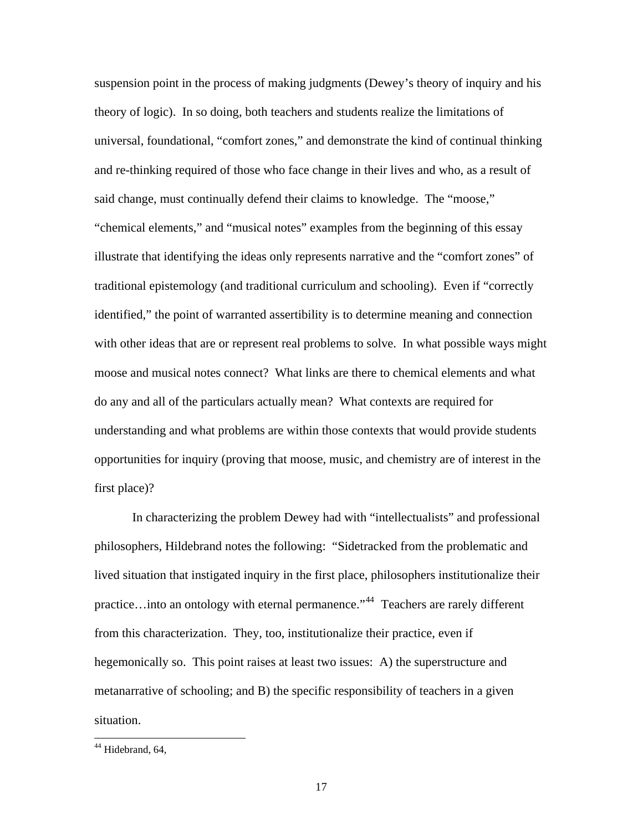suspension point in the process of making judgments (Dewey's theory of inquiry and his theory of logic). In so doing, both teachers and students realize the limitations of universal, foundational, "comfort zones," and demonstrate the kind of continual thinking and re-thinking required of those who face change in their lives and who, as a result of said change, must continually defend their claims to knowledge. The "moose," "chemical elements," and "musical notes" examples from the beginning of this essay illustrate that identifying the ideas only represents narrative and the "comfort zones" of traditional epistemology (and traditional curriculum and schooling). Even if "correctly identified," the point of warranted assertibility is to determine meaning and connection with other ideas that are or represent real problems to solve. In what possible ways might moose and musical notes connect? What links are there to chemical elements and what do any and all of the particulars actually mean? What contexts are required for understandin g and what problems are within those contexts that would provide students opportu nities for inquiry (proving that moose, music, and chemistry are of interest in the first place)?

lived situation that instigated inquiry in the first place, philosophers institutionalize their practice…into an ontology with eternal permanence."<sup>[44](#page-17-0)</sup> Teachers are rarely different hegemonically so. This point raises at least two issues: A) the superstructure and metana rrative of schooling; and B) the specific responsibility of teachers in a given In characterizing the problem Dewey had with "intellectualists" and professional philosophers, Hildebrand notes the following: "Sidetracked from the problematic and from this characterization. They, too, institutionalize their practice, even if situation.

<span id="page-17-0"></span><sup>&</sup>lt;sup>44</sup> Hidebrand, 64,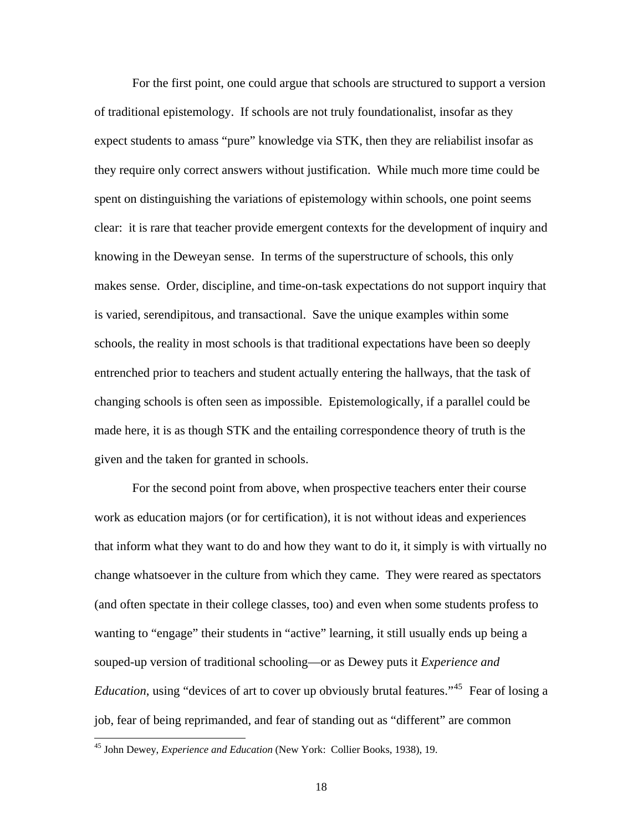For the first point, one could argue that schools are structured to support a versio n of traditional epistemology. If schools are not truly foundationalist, insofar as they expect students to amass "pure" knowledge via STK, then they are reliabilist insofar as they require only correct answers without justification. While much more time could be spent on distinguishing the variations of epistemology within schools, one point seem s clear: it is rare that teacher provide emergent contexts for the development of inquiry and knowing in the Deweyan sense. In terms of the superstructure of schools, this only makes sense. Order, discipline, and time-on-task expectations do not support inquiry th at is varied, serendipitous, and transactional. Save the unique examples within some schools, the reality in most schools is that traditional expectations have been so deeply entrenched prior to teachers and student actually entering the hallways, that the task of changing schools is often seen as impossibl e. Epistemologically, if a parallel could be made h ere, it is as though STK and the entailing correspondence theory of truth is the given and the taken for granted in schools.

change whatsoever in the culture from which they came. They were reared as spectators (and often spectate in their college classes, too) and even when some students profess to For the second point from above, when prospective teachers enter their course work as education majors (or for certification), it is not without ideas and experiences that inform what they want to do and how they want to do it, it simply is with virtually no wanting to "engage" their students in "active" learning, it still usually ends up being a souped-up version of traditional schooling—or as Dewey puts it *Experience and Education*, using "devices of art to cover up obviously brutal features."<sup>[45](#page-18-0)</sup> Fear of losing a job, fear of being reprimanded, and fear of standing out as "different" are common

<span id="page-18-0"></span><sup>45</sup> John Dewey, *Experience and Education* (New York: Collier Books, 1938), 19.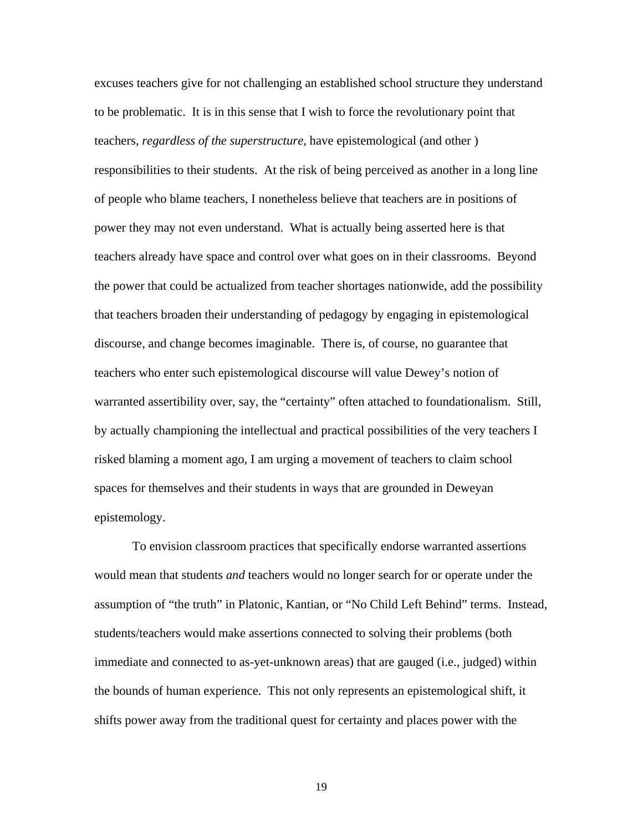excuses teachers give for not challenging an established school structure they understand to be problematic. It is in this sense that I wish to force the revolutionary point that teachers, *regardless of the superstructure*, have epistemological (and other ) responsibilities to their students. At the risk of being perceived as another in a long line of people who blame teachers, I nonetheless believe that teachers are in positions of power they may not even understand. What is actually being asserted here is that teachers already have space and control over what goes on in their classrooms. Beyond the power that could be actualized from teacher shortages nationwide, add the poss ibility that teachers broaden their understanding of pedagogy by engaging in epistemolo gical discourse, and change becomes imaginable. There is, of course, no guarantee that teachers who enter such epistemological discourse will value Dewey's notion of warranted assertibility over, say, the "certainty" often attached to foundationalism. S till, by actually championing the intellectual and practical possibilities of the very tea chers I risked blaming a moment ago, I am urging a movement of teachers to claim school spaces for themselves and their students in ways that are grounded in Deweyan epistemology.

would mean that students *and* teachers would no longer search for or operate under the assumption of "the truth" in Platonic, Kantian, or "No Child Left Behind" terms. Instead, immediate and connected to as-yet-unknown areas) that are gauged (i.e., judged) within shifts power away from the traditional quest for certainty and places power with the To envision classroom practices that specifically endorse warranted assertions students/teachers would make assertions connected to solving their problems (both the bounds of human experience. This not only represents an epistemological shift, it

19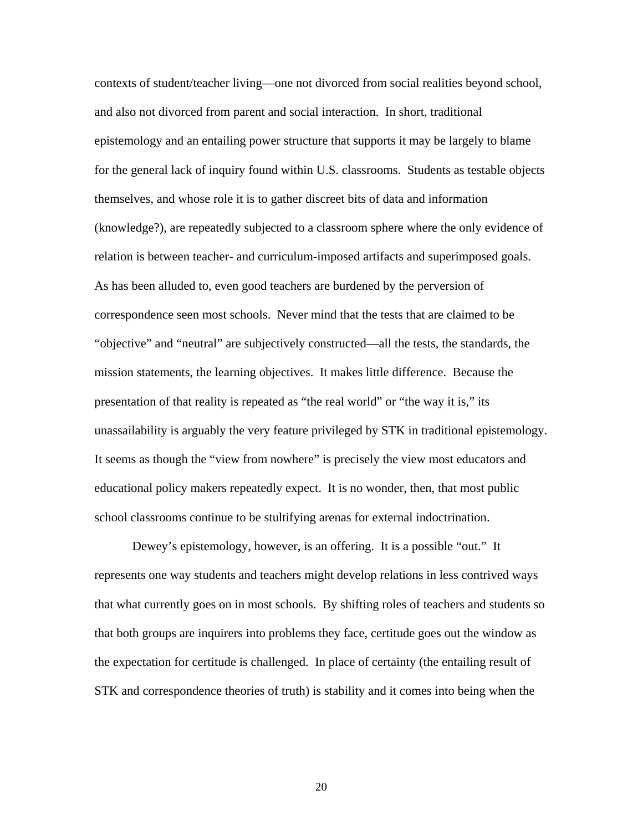contexts of student/teacher living—one not divorced from social realities beyond school, epistemology and an entailing power structure that supports it may be largely to blame (knowledge?), are repeatedly subjected to a classroom sphere where the only evidence of relation is between teacher- and curriculum-imposed artifacts and superimposed goals. "objective" and "neutral" are subjectively constructed—all the tests, the standards, the It seems as though the "view from nowhere" is precisely the view most educators and educational policy makers repeatedly expect. It is no wonder, then, that most public and also not divorced from parent and social interaction. In short, traditional for the general lack of inquiry found within U.S. classrooms. Students as testable objects themselves, and whose role it is to gather discreet bits of data and information As has been alluded to, even good teachers are burdened by the perversion of correspondence seen most schools. Never mind that the tests that are claimed to be mission statements, the learning objectives. It makes little difference. Because the presentation of that reality is repeated as "the real world" or "the way it is," its unassailability is arguably the very feature privileged by STK in traditional epistemology. school classrooms continue to be stultifying arenas for external indoctrination.

that what currently goes on in most schools. By shifting roles of teachers and students so the expectation for certitude is challenged. In place of certainty (the entailing result of STK and correspondence theories of truth) is stability and it comes into being when the Dewey's epistemology, however, is an offering. It is a possible "out." It represents one way students and teachers might develop relations in less contrived ways that both groups are inquirers into problems they face, certitude goes out the window as

20